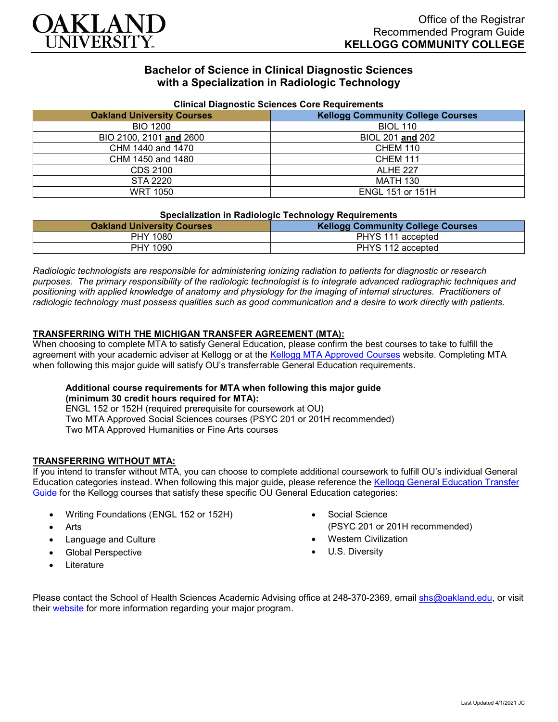

# **Bachelor of Science in Clinical Diagnostic Sciences with a Specialization in Radiologic Technology**

| <b>Unifical Diagnostic Sciences Core Requirements</b> |                                          |
|-------------------------------------------------------|------------------------------------------|
| <b>Oakland University Courses</b>                     | <b>Kellogg Community College Courses</b> |
| <b>BIO 1200</b>                                       | <b>BIOL 110</b>                          |
| BIO 2100, 2101 and 2600                               | BIOL 201 and 202                         |
| CHM 1440 and 1470                                     | <b>CHEM 110</b>                          |
| CHM 1450 and 1480                                     | <b>CHEM 111</b>                          |
| CDS 2100                                              | <b>ALHE 227</b>                          |
| STA 2220                                              | <b>MATH 130</b>                          |
| <b>WRT 1050</b>                                       | <b>ENGL 151 or 151H</b>                  |

### **Clinical Diagnostic Sciences Core Requirements**

#### **Specialization in Radiologic Technology Requirements**

| <b>Oakland University Courses</b> | .<br><b>Kellogg Community College Courses</b> |
|-----------------------------------|-----------------------------------------------|
| PHY 1080                          | PHYS 111 accepted                             |
| PHY 1090                          | PHYS 112 accepted                             |

*Radiologic technologists are responsible for administering ionizing radiation to patients for diagnostic or research purposes. The primary responsibility of the radiologic technologist is to integrate advanced radiographic techniques and positioning with applied knowledge of anatomy and physiology for the imaging of internal structures. Practitioners of radiologic technology must possess qualities such as good communication and a desire to work directly with patients.*

### **TRANSFERRING WITH THE MICHIGAN TRANSFER AGREEMENT (MTA):**

When choosing to complete MTA to satisfy General Education, please confirm the best courses to take to fulfill the agreement with your academic adviser at Kellogg or at the [Kellogg MTA Approved Courses](http://catalog.kellogg.edu/content.php?catoid=16&navoid=705#michigan-transfer-agreement) website. Completing MTA when following this major guide will satisfy OU's transferrable General Education requirements.

### **Additional course requirements for MTA when following this major guide (minimum 30 credit hours required for MTA):**

ENGL 152 or 152H (required prerequisite for coursework at OU) Two MTA Approved Social Sciences courses (PSYC 201 or 201H recommended) Two MTA Approved Humanities or Fine Arts courses

### **TRANSFERRING WITHOUT MTA:**

If you intend to transfer without MTA, you can choose to complete additional coursework to fulfill OU's individual General Education categories instead. When following this major guide, please reference the [Kellogg General Education Transfer](https://www.oakland.edu/Assets/Oakland/program-guides/kellogg-community-college/university-general-education-requirements/Kellogg%20Gen%20Ed.pdf)  [Guide](https://www.oakland.edu/Assets/Oakland/program-guides/kellogg-community-college/university-general-education-requirements/Kellogg%20Gen%20Ed.pdf) for the Kellogg courses that satisfy these specific OU General Education categories:

- Writing Foundations (ENGL 152 or 152H)
- **Arts**
- Language and Culture
- Global Perspective
- **Literature**
- Social Science (PSYC 201 or 201H recommended)
- Western Civilization
- U.S. Diversity

Please contact the School of Health Sciences Academic Advising office at 248-370-2369, email [shs@oakland.edu,](mailto:shs@oakland.edu) or visit their [website](http://www.oakland.edu/shs/advising) for more information regarding your major program.